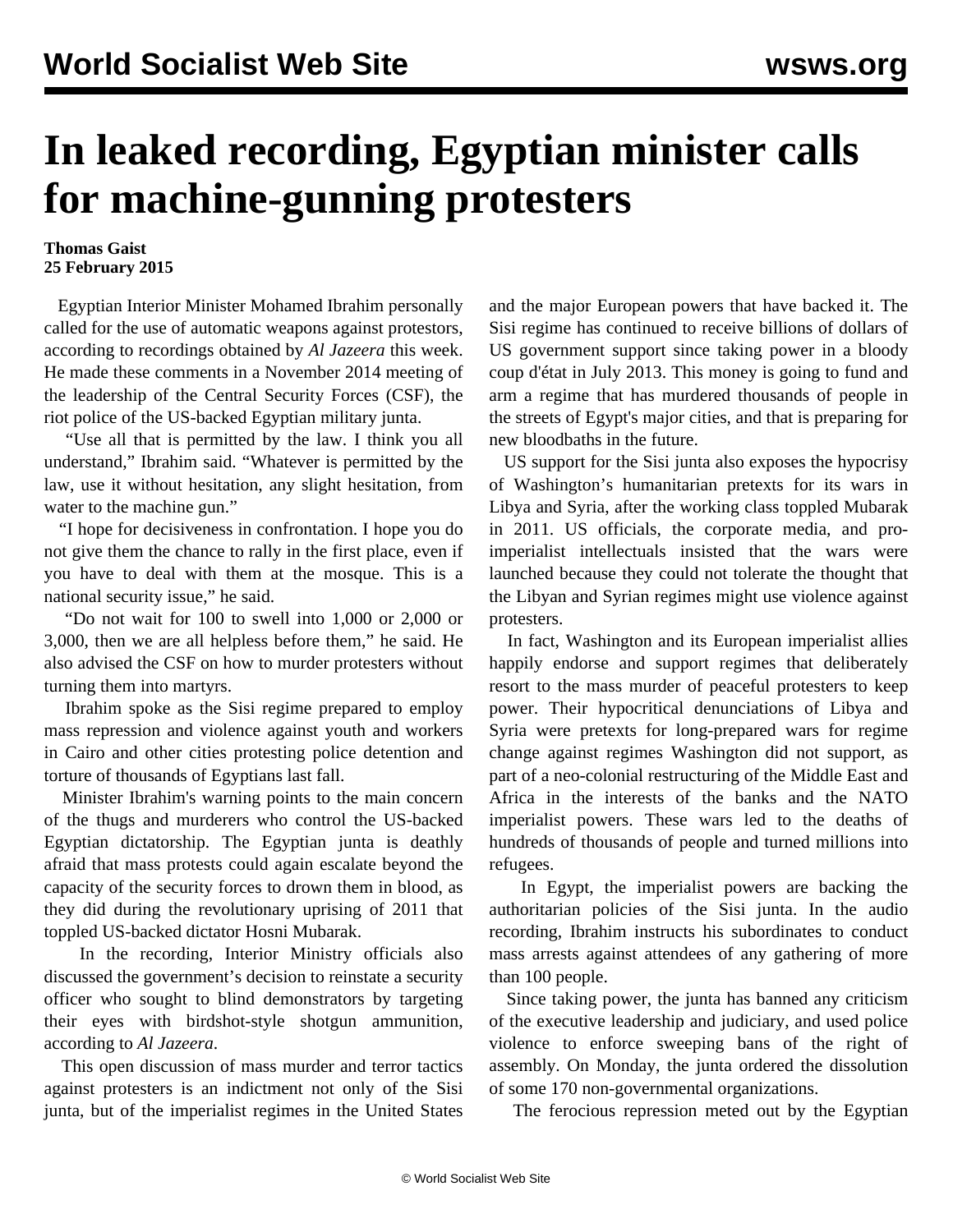## **In leaked recording, Egyptian minister calls for machine-gunning protesters**

## **Thomas Gaist 25 February 2015**

 Egyptian Interior Minister Mohamed Ibrahim personally called for the use of automatic weapons against protestors, according to recordings obtained by *Al Jazeera* this week. He made these comments in a November 2014 meeting of the leadership of the Central Security Forces (CSF), the riot police of the US-backed Egyptian military junta.

 "Use all that is permitted by the law. I think you all understand," Ibrahim said. "Whatever is permitted by the law, use it without hesitation, any slight hesitation, from water to the machine gun."

 "I hope for decisiveness in confrontation. I hope you do not give them the chance to rally in the first place, even if you have to deal with them at the mosque. This is a national security issue," he said.

 "Do not wait for 100 to swell into 1,000 or 2,000 or 3,000, then we are all helpless before them," he said. He also advised the CSF on how to murder protesters without turning them into martyrs.

 Ibrahim spoke as the Sisi regime prepared to employ mass repression and violence against youth and workers in Cairo and other cities protesting police detention and torture of thousands of Egyptians last fall.

 Minister Ibrahim's warning points to the main concern of the thugs and murderers who control the US-backed Egyptian dictatorship. The Egyptian junta is deathly afraid that mass protests could again escalate beyond the capacity of the security forces to drown them in blood, as they did during the revolutionary uprising of 2011 that toppled US-backed dictator Hosni Mubarak.

 In the recording, Interior Ministry officials also discussed the government's decision to reinstate a security officer who sought to blind demonstrators by targeting their eyes with birdshot-style shotgun ammunition, according to *Al Jazeera*.

 This open discussion of mass murder and terror tactics against protesters is an indictment not only of the Sisi junta, but of the imperialist regimes in the United States

and the major European powers that have backed it. The Sisi regime has continued to receive billions of dollars of US government support since taking power in a bloody coup d'état in July 2013. This money is going to fund and arm a regime that has murdered thousands of people in the streets of Egypt's major cities, and that is preparing for new bloodbaths in the future.

 US support for the Sisi junta also exposes the hypocrisy of Washington's humanitarian pretexts for its wars in Libya and Syria, after the working class toppled Mubarak in 2011. US officials, the corporate media, and proimperialist intellectuals insisted that the wars were launched because they could not tolerate the thought that the Libyan and Syrian regimes might use violence against protesters.

 In fact, Washington and its European imperialist allies happily endorse and support regimes that deliberately resort to the mass murder of peaceful protesters to keep power. Their hypocritical denunciations of Libya and Syria were pretexts for long-prepared wars for regime change against regimes Washington did not support, as part of a neo-colonial restructuring of the Middle East and Africa in the interests of the banks and the NATO imperialist powers. These wars led to the deaths of hundreds of thousands of people and turned millions into refugees.

 In Egypt, the imperialist powers are backing the authoritarian policies of the Sisi junta. In the audio recording, Ibrahim instructs his subordinates to conduct mass arrests against attendees of any gathering of more than 100 people.

 Since taking power, the junta has banned any criticism of the executive leadership and judiciary, and used police violence to enforce sweeping bans of the right of assembly. On Monday, the junta ordered the dissolution of some 170 non-governmental organizations.

The ferocious repression meted out by the Egyptian